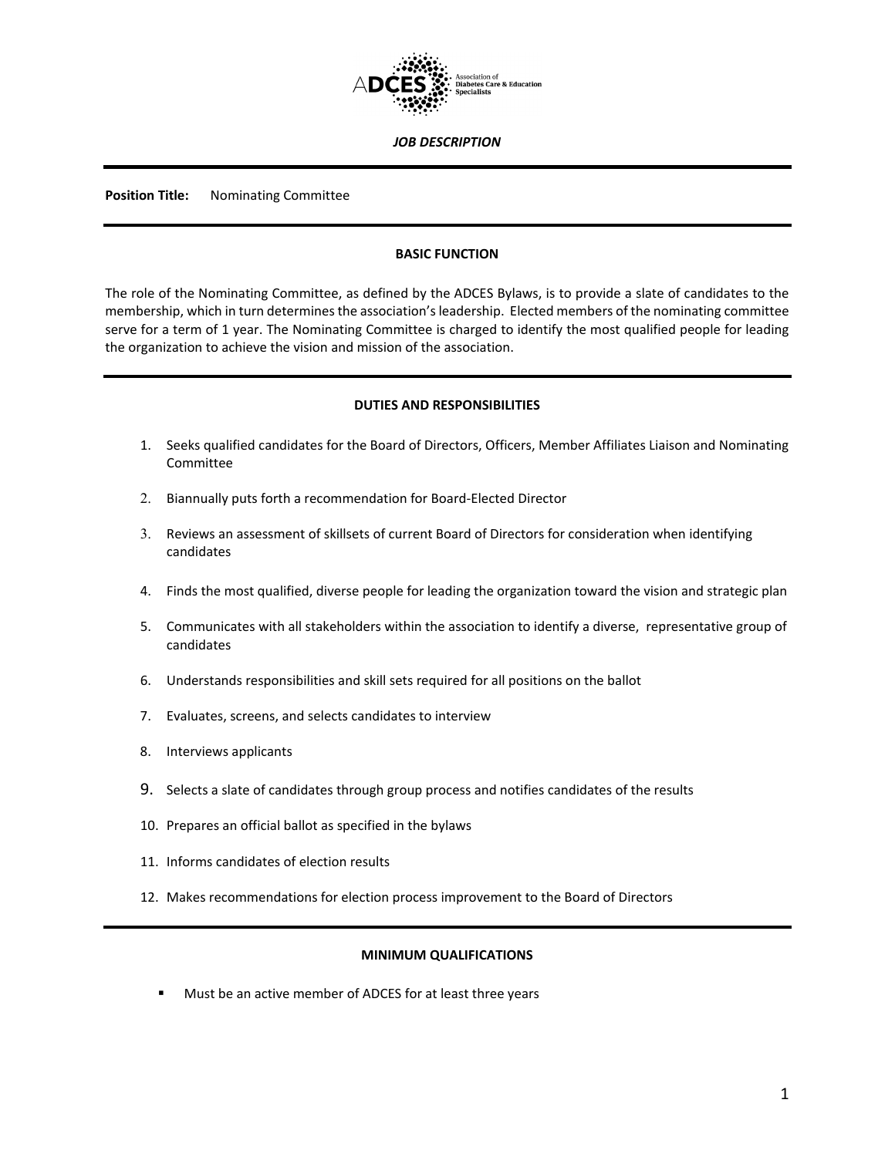

#### *JOB DESCRIPTION*

**Position Title:** Nominating Committee

## **BASIC FUNCTION**

The role of the Nominating Committee, as defined by the ADCES Bylaws, is to provide a slate of candidates to the membership, which in turn determines the association's leadership. Elected members of the nominating committee serve for a term of 1 year. The Nominating Committee is charged to identify the most qualified people for leading the organization to achieve the vision and mission of the association.

#### **DUTIES AND RESPONSIBILITIES**

- 1. Seeks qualified candidates for the Board of Directors, Officers, Member Affiliates Liaison and Nominating Committee
- 2. Biannually puts forth a recommendation for Board-Elected Director
- 3. Reviews an assessment of skillsets of current Board of Directors for consideration when identifying candidates
- 4. Finds the most qualified, diverse people for leading the organization toward the vision and strategic plan
- 5. Communicates with all stakeholders within the association to identify a diverse, representative group of candidates
- 6. Understands responsibilities and skill sets required for all positions on the ballot
- 7. Evaluates, screens, and selects candidates to interview
- 8. Interviews applicants
- 9. Selects a slate of candidates through group process and notifies candidates of the results
- 10. Prepares an official ballot as specified in the bylaws
- 11. Informs candidates of election results
- 12. Makes recommendations for election process improvement to the Board of Directors

## **MINIMUM QUALIFICATIONS**

**Must be an active member of ADCES for at least three years**